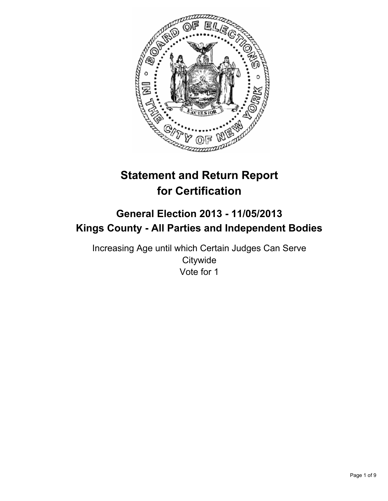

# **Statement and Return Report for Certification**

## **General Election 2013 - 11/05/2013 Kings County - All Parties and Independent Bodies**

Increasing Age until which Certain Judges Can Serve **Citywide** Vote for 1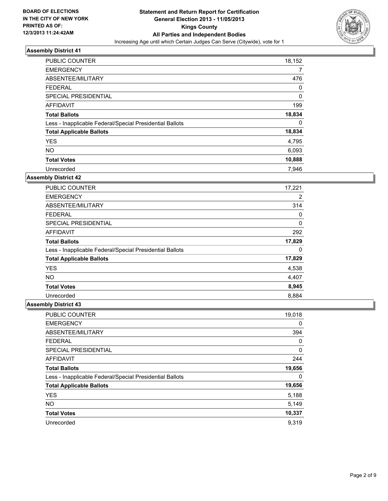

| <b>PUBLIC COUNTER</b>                                    | 18,152 |
|----------------------------------------------------------|--------|
| <b>EMERGENCY</b>                                         | 7      |
| ABSENTEE/MILITARY                                        | 476    |
| <b>FEDERAL</b>                                           | 0      |
| SPECIAL PRESIDENTIAL                                     | 0      |
| AFFIDAVIT                                                | 199    |
| <b>Total Ballots</b>                                     | 18,834 |
| Less - Inapplicable Federal/Special Presidential Ballots | 0      |
| <b>Total Applicable Ballots</b>                          | 18,834 |
| <b>YES</b>                                               | 4,795  |
| <b>NO</b>                                                | 6,093  |
| <b>Total Votes</b>                                       | 10,888 |
| Unrecorded                                               | 7.946  |

### **Assembly District 42**

| <b>PUBLIC COUNTER</b>                                    | 17,221 |
|----------------------------------------------------------|--------|
| <b>EMERGENCY</b>                                         | 2      |
| ABSENTEE/MILITARY                                        | 314    |
| <b>FEDERAL</b>                                           | 0      |
| <b>SPECIAL PRESIDENTIAL</b>                              | 0      |
| <b>AFFIDAVIT</b>                                         | 292    |
| <b>Total Ballots</b>                                     | 17,829 |
| Less - Inapplicable Federal/Special Presidential Ballots | 0      |
| <b>Total Applicable Ballots</b>                          | 17,829 |
| <b>YES</b>                                               | 4,538  |
| <b>NO</b>                                                | 4,407  |
| <b>Total Votes</b>                                       | 8,945  |
| Unrecorded                                               | 8,884  |

| PUBLIC COUNTER                                           | 19,018   |
|----------------------------------------------------------|----------|
| <b>EMERGENCY</b>                                         | 0        |
| ABSENTEE/MILITARY                                        | 394      |
| <b>FEDERAL</b>                                           | $\Omega$ |
| SPECIAL PRESIDENTIAL                                     | 0        |
| <b>AFFIDAVIT</b>                                         | 244      |
| <b>Total Ballots</b>                                     | 19,656   |
| Less - Inapplicable Federal/Special Presidential Ballots | 0        |
| <b>Total Applicable Ballots</b>                          | 19,656   |
| <b>YES</b>                                               | 5,188    |
| <b>NO</b>                                                | 5,149    |
| <b>Total Votes</b>                                       | 10,337   |
| Unrecorded                                               | 9,319    |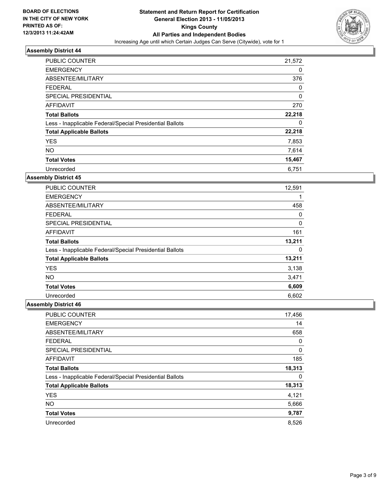

| <b>PUBLIC COUNTER</b>                                    | 21,572 |
|----------------------------------------------------------|--------|
| <b>EMERGENCY</b>                                         | 0      |
| ABSENTEE/MILITARY                                        | 376    |
| <b>FEDERAL</b>                                           | 0      |
| SPECIAL PRESIDENTIAL                                     | 0      |
| AFFIDAVIT                                                | 270    |
| <b>Total Ballots</b>                                     | 22,218 |
| Less - Inapplicable Federal/Special Presidential Ballots | 0      |
| <b>Total Applicable Ballots</b>                          | 22,218 |
| <b>YES</b>                                               | 7,853  |
| <b>NO</b>                                                | 7,614  |
| <b>Total Votes</b>                                       | 15,467 |
| Unrecorded                                               | 6.751  |

### **Assembly District 45**

| <b>PUBLIC COUNTER</b>                                    | 12,591 |
|----------------------------------------------------------|--------|
| <b>EMERGENCY</b>                                         | 1      |
| ABSENTEE/MILITARY                                        | 458    |
| <b>FEDERAL</b>                                           | 0      |
| <b>SPECIAL PRESIDENTIAL</b>                              | 0      |
| AFFIDAVIT                                                | 161    |
| <b>Total Ballots</b>                                     | 13,211 |
| Less - Inapplicable Federal/Special Presidential Ballots | 0      |
| <b>Total Applicable Ballots</b>                          | 13,211 |
| <b>YES</b>                                               | 3,138  |
| <b>NO</b>                                                | 3,471  |
| <b>Total Votes</b>                                       | 6,609  |
| Unrecorded                                               | 6,602  |

| PUBLIC COUNTER                                           | 17,456 |
|----------------------------------------------------------|--------|
| <b>EMERGENCY</b>                                         | 14     |
| ABSENTEE/MILITARY                                        | 658    |
| <b>FEDERAL</b>                                           | 0      |
| SPECIAL PRESIDENTIAL                                     | 0      |
| <b>AFFIDAVIT</b>                                         | 185    |
| <b>Total Ballots</b>                                     | 18,313 |
| Less - Inapplicable Federal/Special Presidential Ballots | 0      |
| <b>Total Applicable Ballots</b>                          | 18,313 |
| <b>YES</b>                                               | 4,121  |
| <b>NO</b>                                                | 5,666  |
| <b>Total Votes</b>                                       | 9,787  |
| Unrecorded                                               | 8,526  |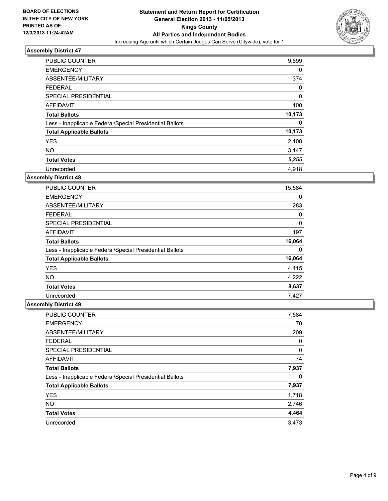

| <b>PUBLIC COUNTER</b>                                    | 9,699  |
|----------------------------------------------------------|--------|
| <b>EMERGENCY</b>                                         | 0      |
| ABSENTEE/MILITARY                                        | 374    |
| <b>FEDERAL</b>                                           | 0      |
| SPECIAL PRESIDENTIAL                                     | 0      |
| AFFIDAVIT                                                | 100    |
| <b>Total Ballots</b>                                     | 10,173 |
| Less - Inapplicable Federal/Special Presidential Ballots | 0      |
| <b>Total Applicable Ballots</b>                          | 10,173 |
| <b>YES</b>                                               | 2,108  |
| <b>NO</b>                                                | 3,147  |
| <b>Total Votes</b>                                       | 5,255  |
| Unrecorded                                               | 4,918  |

### **Assembly District 48**

| PUBLIC COUNTER                                           | 15,584 |
|----------------------------------------------------------|--------|
| <b>EMERGENCY</b>                                         | 0      |
| ABSENTEE/MILITARY                                        | 283    |
| <b>FEDERAL</b>                                           | 0      |
| SPECIAL PRESIDENTIAL                                     | 0      |
| AFFIDAVIT                                                | 197    |
| <b>Total Ballots</b>                                     | 16,064 |
| Less - Inapplicable Federal/Special Presidential Ballots | 0      |
| <b>Total Applicable Ballots</b>                          | 16,064 |
| <b>YES</b>                                               | 4,415  |
| NO.                                                      | 4,222  |
| <b>Total Votes</b>                                       | 8,637  |
| Unrecorded                                               | 7,427  |

| PUBLIC COUNTER                                           | 7,584 |
|----------------------------------------------------------|-------|
| <b>EMERGENCY</b>                                         | 70    |
| ABSENTEE/MILITARY                                        | 209   |
| <b>FEDERAL</b>                                           | 0     |
| SPECIAL PRESIDENTIAL                                     | 0     |
| <b>AFFIDAVIT</b>                                         | 74    |
| <b>Total Ballots</b>                                     | 7,937 |
| Less - Inapplicable Federal/Special Presidential Ballots | 0     |
| <b>Total Applicable Ballots</b>                          | 7,937 |
| <b>YES</b>                                               | 1,718 |
| <b>NO</b>                                                | 2,746 |
| <b>Total Votes</b>                                       | 4,464 |
| Unrecorded                                               | 3,473 |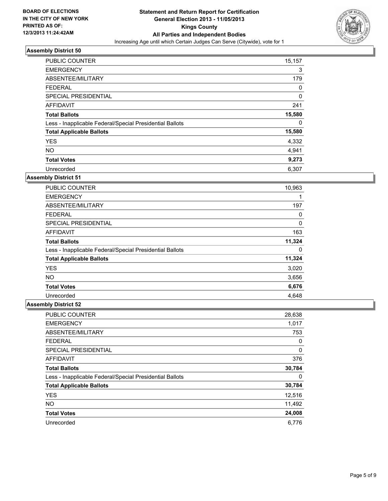

| <b>PUBLIC COUNTER</b>                                    | 15,157 |
|----------------------------------------------------------|--------|
| <b>EMERGENCY</b>                                         | 3      |
| ABSENTEE/MILITARY                                        | 179    |
| <b>FEDERAL</b>                                           | 0      |
| SPECIAL PRESIDENTIAL                                     | 0      |
| <b>AFFIDAVIT</b>                                         | 241    |
| <b>Total Ballots</b>                                     | 15,580 |
| Less - Inapplicable Federal/Special Presidential Ballots | 0      |
| <b>Total Applicable Ballots</b>                          | 15,580 |
| <b>YES</b>                                               | 4,332  |
| <b>NO</b>                                                | 4,941  |
| <b>Total Votes</b>                                       | 9,273  |
| Unrecorded                                               | 6,307  |

### **Assembly District 51**

| PUBLIC COUNTER                                           | 10,963 |
|----------------------------------------------------------|--------|
| <b>EMERGENCY</b>                                         | 1      |
| ABSENTEE/MILITARY                                        | 197    |
| <b>FEDERAL</b>                                           | 0      |
| SPECIAL PRESIDENTIAL                                     | 0      |
| AFFIDAVIT                                                | 163    |
| <b>Total Ballots</b>                                     | 11,324 |
| Less - Inapplicable Federal/Special Presidential Ballots | 0      |
| <b>Total Applicable Ballots</b>                          | 11,324 |
| <b>YES</b>                                               | 3,020  |
| NO.                                                      | 3,656  |
| <b>Total Votes</b>                                       | 6,676  |
| Unrecorded                                               | 4,648  |

| <b>PUBLIC COUNTER</b>                                    | 28,638 |
|----------------------------------------------------------|--------|
| <b>EMERGENCY</b>                                         | 1,017  |
| ABSENTEE/MILITARY                                        | 753    |
| <b>FEDERAL</b>                                           | 0      |
| SPECIAL PRESIDENTIAL                                     | 0      |
| <b>AFFIDAVIT</b>                                         | 376    |
| <b>Total Ballots</b>                                     | 30,784 |
| Less - Inapplicable Federal/Special Presidential Ballots | 0      |
| <b>Total Applicable Ballots</b>                          | 30,784 |
| <b>YES</b>                                               | 12,516 |
| <b>NO</b>                                                | 11,492 |
| <b>Total Votes</b>                                       | 24,008 |
| Unrecorded                                               | 6.776  |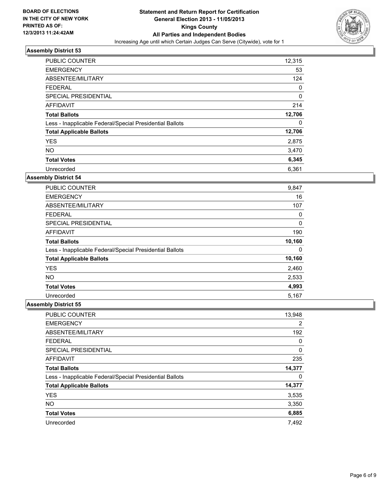

| <b>PUBLIC COUNTER</b>                                    | 12,315      |
|----------------------------------------------------------|-------------|
| <b>EMERGENCY</b>                                         | 53          |
| ABSENTEE/MILITARY                                        | 124         |
| <b>FEDERAL</b>                                           | 0           |
| SPECIAL PRESIDENTIAL                                     | $\mathbf 0$ |
| AFFIDAVIT                                                | 214         |
| <b>Total Ballots</b>                                     | 12,706      |
| Less - Inapplicable Federal/Special Presidential Ballots | 0           |
| <b>Total Applicable Ballots</b>                          | 12,706      |
| <b>YES</b>                                               | 2,875       |
| <b>NO</b>                                                | 3,470       |
| <b>Total Votes</b>                                       | 6,345       |
| Unrecorded                                               | 6,361       |

### **Assembly District 54**

| <b>PUBLIC COUNTER</b>                                    | 9,847  |
|----------------------------------------------------------|--------|
| <b>EMERGENCY</b>                                         | 16     |
| ABSENTEE/MILITARY                                        | 107    |
| <b>FEDERAL</b>                                           | 0      |
| <b>SPECIAL PRESIDENTIAL</b>                              | 0      |
| AFFIDAVIT                                                | 190    |
| <b>Total Ballots</b>                                     | 10,160 |
| Less - Inapplicable Federal/Special Presidential Ballots | 0      |
| <b>Total Applicable Ballots</b>                          | 10,160 |
| <b>YES</b>                                               | 2,460  |
| <b>NO</b>                                                | 2,533  |
| <b>Total Votes</b>                                       | 4,993  |
| Unrecorded                                               | 5,167  |

| PUBLIC COUNTER                                           | 13,948         |
|----------------------------------------------------------|----------------|
| <b>EMERGENCY</b>                                         | $\overline{2}$ |
| ABSENTEE/MILITARY                                        | 192            |
| <b>FEDERAL</b>                                           | 0              |
| SPECIAL PRESIDENTIAL                                     | 0              |
| <b>AFFIDAVIT</b>                                         | 235            |
| <b>Total Ballots</b>                                     | 14,377         |
| Less - Inapplicable Federal/Special Presidential Ballots | 0              |
| <b>Total Applicable Ballots</b>                          | 14,377         |
| <b>YES</b>                                               | 3,535          |
| <b>NO</b>                                                | 3,350          |
| <b>Total Votes</b>                                       | 6,885          |
| Unrecorded                                               | 7,492          |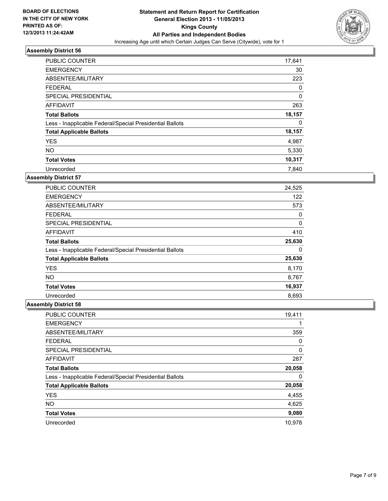

| <b>PUBLIC COUNTER</b>                                    | 17,641 |
|----------------------------------------------------------|--------|
| <b>EMERGENCY</b>                                         | 30     |
| ABSENTEE/MILITARY                                        | 223    |
| <b>FEDERAL</b>                                           | 0      |
| SPECIAL PRESIDENTIAL                                     | 0      |
| AFFIDAVIT                                                | 263    |
| <b>Total Ballots</b>                                     | 18,157 |
| Less - Inapplicable Federal/Special Presidential Ballots | 0      |
| <b>Total Applicable Ballots</b>                          | 18,157 |
| <b>YES</b>                                               | 4,987  |
| <b>NO</b>                                                | 5,330  |
| <b>Total Votes</b>                                       | 10,317 |
| Unrecorded                                               | 7.840  |

### **Assembly District 57**

| <b>PUBLIC COUNTER</b>                                    | 24,525 |
|----------------------------------------------------------|--------|
| <b>EMERGENCY</b>                                         | 122    |
| ABSENTEE/MILITARY                                        | 573    |
| <b>FEDERAL</b>                                           | 0      |
| <b>SPECIAL PRESIDENTIAL</b>                              | 0      |
| AFFIDAVIT                                                | 410    |
| <b>Total Ballots</b>                                     | 25,630 |
| Less - Inapplicable Federal/Special Presidential Ballots | 0      |
| <b>Total Applicable Ballots</b>                          | 25,630 |
| <b>YES</b>                                               | 8,170  |
| <b>NO</b>                                                | 8,767  |
| <b>Total Votes</b>                                       | 16,937 |
| Unrecorded                                               | 8,693  |

| <b>PUBLIC COUNTER</b>                                    | 19,411 |
|----------------------------------------------------------|--------|
| <b>EMERGENCY</b>                                         |        |
| ABSENTEE/MILITARY                                        | 359    |
| <b>FEDERAL</b>                                           | 0      |
| SPECIAL PRESIDENTIAL                                     | 0      |
| <b>AFFIDAVIT</b>                                         | 287    |
| <b>Total Ballots</b>                                     | 20,058 |
| Less - Inapplicable Federal/Special Presidential Ballots | 0      |
| <b>Total Applicable Ballots</b>                          | 20,058 |
| <b>YES</b>                                               | 4,455  |
| <b>NO</b>                                                | 4,625  |
| <b>Total Votes</b>                                       | 9,080  |
| Unrecorded                                               | 10.978 |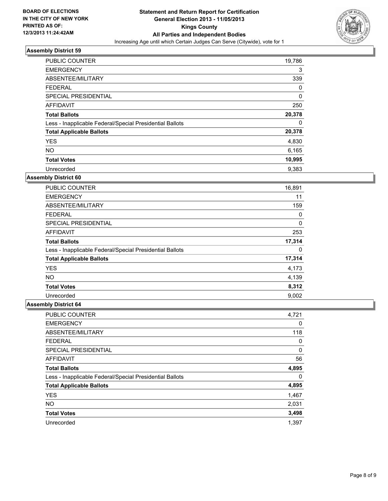

| PUBLIC COUNTER                                           | 19,786 |
|----------------------------------------------------------|--------|
| <b>EMERGENCY</b>                                         | 3      |
| ABSENTEE/MILITARY                                        | 339    |
| <b>FEDERAL</b>                                           | 0      |
| SPECIAL PRESIDENTIAL                                     | 0      |
| AFFIDAVIT                                                | 250    |
| <b>Total Ballots</b>                                     | 20,378 |
| Less - Inapplicable Federal/Special Presidential Ballots | 0      |
| <b>Total Applicable Ballots</b>                          | 20,378 |
| <b>YES</b>                                               | 4,830  |
| <b>NO</b>                                                | 6,165  |
| <b>Total Votes</b>                                       | 10,995 |
| Unrecorded                                               | 9,383  |

### **Assembly District 60**

| PUBLIC COUNTER                                           | 16,891 |
|----------------------------------------------------------|--------|
| <b>EMERGENCY</b>                                         | 11     |
| ABSENTEE/MILITARY                                        | 159    |
| <b>FEDERAL</b>                                           | 0      |
| <b>SPECIAL PRESIDENTIAL</b>                              | 0      |
| AFFIDAVIT                                                | 253    |
| <b>Total Ballots</b>                                     | 17,314 |
| Less - Inapplicable Federal/Special Presidential Ballots | 0      |
| <b>Total Applicable Ballots</b>                          | 17,314 |
| <b>YES</b>                                               | 4,173  |
| <b>NO</b>                                                | 4,139  |
| <b>Total Votes</b>                                       | 8,312  |
| Unrecorded                                               | 9.002  |

| <b>PUBLIC COUNTER</b>                                    | 4,721 |
|----------------------------------------------------------|-------|
| <b>EMERGENCY</b>                                         | 0     |
| ABSENTEE/MILITARY                                        | 118   |
| <b>FEDERAL</b>                                           | 0     |
| SPECIAL PRESIDENTIAL                                     | 0     |
| <b>AFFIDAVIT</b>                                         | 56    |
| <b>Total Ballots</b>                                     | 4,895 |
| Less - Inapplicable Federal/Special Presidential Ballots | 0     |
| <b>Total Applicable Ballots</b>                          | 4,895 |
| <b>YES</b>                                               | 1,467 |
| <b>NO</b>                                                | 2,031 |
| <b>Total Votes</b>                                       | 3,498 |
| Unrecorded                                               | 1,397 |